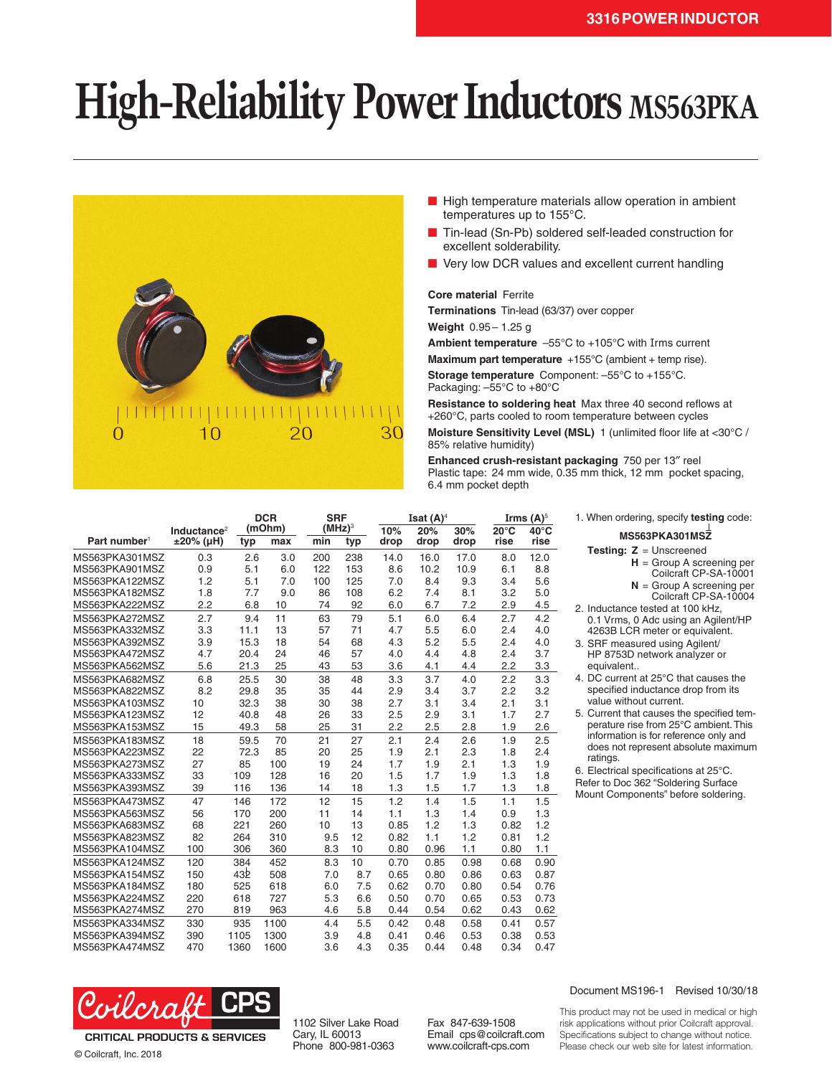## **High-Reliability Power Inductors MS563PKA**



- High temperature materials allow operation in ambient temperatures up to 155°C.
- Tin-lead (Sn-Pb) soldered self-leaded construction for excellent solderability.
- Very low DCR values and excellent current handling

## **Core material** Ferrite

**Terminations** Tin-lead (63/37) over copper

**Weight** 0.95– 1.25 g

**Ambient temperature** –55°C to +105°C with Irms current

**Maximum part temperature** +155°C (ambient + temp rise). **Storage temperature** Component: –55°C to +155°C. Packaging: –55°C to +80°C

**Resistance to soldering heat** Max three 40 second reflows at +260°C, parts cooled to room temperature between cycles

**Moisture Sensitivity Level (MSL)** 1 (unlimited floor life at <30°C / 85% relative humidity)

**Enhanced crush-resistant packaging** 750 per 13″ reel Plastic tape: 24 mm wide, 0.35 mm thick, 12 mm pocket spacing, 6.4 mm pocket depth

|                          |                                         |                 | <b>DCR</b>    |     | <b>SRF</b><br>$(MHz)^3$ |             | Isat $(A)^4$ |             |                        | Irms $(A)^5$           |  |
|--------------------------|-----------------------------------------|-----------------|---------------|-----|-------------------------|-------------|--------------|-------------|------------------------|------------------------|--|
| Part number <sup>1</sup> | Inductance <sup>2</sup><br>$±20\%$ (µH) | typ             | (mOhm)<br>max | min | typ                     | 10%<br>drop | 20%<br>drop  | 30%<br>drop | $20^{\circ}$ C<br>rise | $40^{\circ}$ C<br>rise |  |
| MS563PKA301MSZ           | 0.3                                     | 2.6             | 3.0           | 200 | 238                     | 14.0        | 16.0         | 17.0        | 8.0                    | 12.0                   |  |
| MS563PKA901MSZ           | 0.9                                     | 5.1             | 6.0           | 122 | 153                     | 8.6         | 10.2         | 10.9        | 6.1                    | 8.8                    |  |
| MS563PKA122MSZ           | 1.2                                     | 5.1             | 7.0           | 100 | 125                     | 7.0         | 8.4          | 9.3         | 3.4                    | 5.6                    |  |
| MS563PKA182MSZ           | 1.8                                     | 7.7             | 9.0           | 86  | 108                     | 6.2         | 7.4          | 8.1         | 3.2                    | 5.0                    |  |
| MS563PKA222MSZ           | 2.2                                     | 6.8             | 10            | 74  | 92                      | 6.0         | 6.7          | 7.2         | 2.9                    | 4.5                    |  |
| MS563PKA272MSZ           | 2.7                                     | 9.4             | 11            | 63  | 79                      | 5.1         | 6.0          | 6.4         | 2.7                    | 4.2                    |  |
| MS563PKA332MSZ           | 3.3                                     | 11.1            | 13            | 57  | 71                      | 4.7         | 5.5          | 6.0         | 2.4                    | 4.0                    |  |
| MS563PKA392MSZ           | 3.9                                     | 15.3            | 18            | 54  | 68                      | 4.3         | 5.2          | 5.5         | 2.4                    | 4.0                    |  |
| MS563PKA472MSZ           | 4.7                                     | 20.4            | 24            | 46  | 57                      | 4.0         | 4.4          | 4.8         | 2.4                    | 3.7                    |  |
| MS563PKA562MSZ           | 5.6                                     | 21.3            | 25            | 43  | 53                      | 3.6         | 4.1          | 4.4         | 2.2                    | 3.3                    |  |
| MS563PKA682MSZ           | 6.8                                     | 25.5            | 30            | 38  | 48                      | 3.3         | 3.7          | 4.0         | 2.2                    | 3.3                    |  |
| MS563PKA822MSZ           | 8.2                                     | 29.8            | 35            | 35  | 44                      | 2.9         | 3.4          | 3.7         | 2.2                    | 3.2                    |  |
| MS563PKA103MSZ           | 10                                      | 32.3            | 38            | 30  | 38                      | 2.7         | 3.1          | 3.4         | 2.1                    | 3.1                    |  |
| MS563PKA123MSZ           | 12                                      | 40.8            | 48            | 26  | 33                      | 2.5         | 2.9          | 3.1         | 1.7                    | 2.7                    |  |
| MS563PKA153MSZ           | 15                                      | 49.3            | 58            | 25  | 31                      | 2.2         | 2.5          | 2.8         | 1.9                    | 2.6                    |  |
| MS563PKA183MSZ           | 18                                      | 59.5            | 70            | 21  | 27                      | 2.1         | 2.4          | 2.6         | 1.9                    | 2.5                    |  |
| MS563PKA223MSZ           | 22                                      | 72.3            | 85            | 20  | 25                      | 1.9         | 2.1          | 2.3         | 1.8                    | 2.4                    |  |
| MS563PKA273MSZ           | 27                                      | 85              | 100           | 19  | 24                      | 1.7         | 1.9          | 2.1         | 1.3                    | 1.9                    |  |
| MS563PKA333MSZ           | 33                                      | 109             | 128           | 16  | 20                      | 1.5         | 1.7          | 1.9         | 1.3                    | 1.8                    |  |
| MS563PKA393MSZ           | 39                                      | 116             | 136           | 14  | 18                      | 1.3         | 1.5          | 1.7         | 1.3                    | 1.8                    |  |
| MS563PKA473MSZ           | 47                                      | 146             | 172           | 12  | 15                      | 1.2         | 1.4          | 1.5         | 1.1                    | 1.5                    |  |
| MS563PKA563MSZ           | 56                                      | 170             | 200           | 11  | 14                      | 1.1         | 1.3          | 1.4         | 0.9                    | 1.3                    |  |
| MS563PKA683MSZ           | 68                                      | 221             | 260           | 10  | 13                      | 0.85        | 1.2          | 1.3         | 0.82                   | 1.2                    |  |
| MS563PKA823MSZ           | 82                                      | 264             | 310           | 9.5 | 12                      | 0.82        | 1.1          | 1.2         | 0.81                   | 1.2                    |  |
| MS563PKA104MSZ           | 100                                     | 306             | 360           | 8.3 | 10                      | 0.80        | 0.96         | 1.1         | 0.80                   | 1.1                    |  |
| MS563PKA124MSZ           | 120                                     | 384             | 452           | 8.3 | 10                      | 0.70        | 0.85         | 0.98        | 0.68                   | 0.90                   |  |
| MS563PKA154MSZ           | 150                                     | 43 <sub>b</sub> | 508           | 7.0 | 8.7                     | 0.65        | 0.80         | 0.86        | 0.63                   | 0.87                   |  |
| MS563PKA184MSZ           | 180                                     | 525             | 618           | 6.0 | 7.5                     | 0.62        | 0.70         | 0.80        | 0.54                   | 0.76                   |  |
| MS563PKA224MSZ           | 220                                     | 618             | 727           | 5.3 | 6.6                     | 0.50        | 0.70         | 0.65        | 0.53                   | 0.73                   |  |
| MS563PKA274MSZ           | 270                                     | 819             | 963           | 4.6 | 5.8                     | 0.44        | 0.54         | 0.62        | 0.43                   | 0.62                   |  |
| MS563PKA334MSZ           | 330                                     | 935             | 1100          | 4.4 | 5.5                     | 0.42        | 0.48         | 0.58        | 0.41                   | 0.57                   |  |
| MS563PKA394MSZ           | 390                                     | 1105            | 1300          | 3.9 | 4.8                     | 0.41        | 0.46         | 0.53        | 0.38                   | 0.53                   |  |
| MS563PKA474MSZ           | 470                                     | 1360            | 1600          | 3.6 | 4.3                     | 0.35        | 0.44         | 0.48        | 0.34                   | 0.47                   |  |



**MS563PKA301MSZ**

- **Testing: Z** = Unscreened
	- **H** = Group A screening per
	- Coilcraft CP-SA-10001
	- **N** = Group A screening per
	- Coilcraft CP-SA-10004
- 2. Inductance tested at 100 kHz, 0.1 Vrms, 0 Adc using an Agilent/HP 4263B LCR meter or equivalent.
- 3. SRF measured using Agilent/ HP 8753D network analyzer or equivalent..
- 4. DC current at 25°C that causes the specified inductance drop from its value without current.
- 5. Current that causes the specified temperature rise from 25°C ambient. This information is for reference only and does not represent absolute maximum ratings.

6. Electrical specifications at 25°C. Refer to Doc 362 "Soldering Surface Mount Components" before soldering.



© Coilcraft, Inc. 2018

1102 Silver Lake Road Cary, IL 60013 Phone 800-981-0363

Fax 847-639-1508 Email cps@coilcraft.com www.coilcraft-cps.com

Document MS196-1 Revised 10/30/18

This product may not be used in medical or high risk applications without prior Coilcraft approval. Specifications subject to change without notice. Please check our web site for latest information.